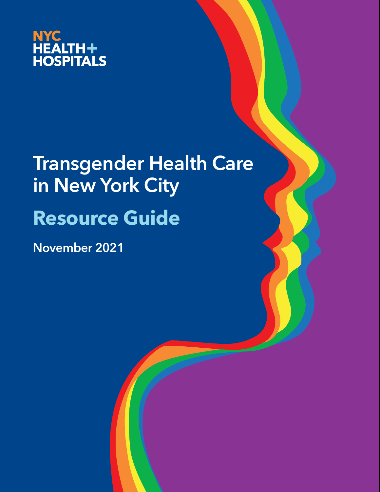

# **Transgender Health Care in New York City Resource Guide**

**November 2021**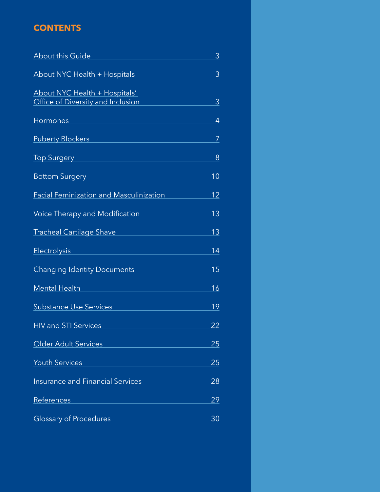# **CONTENTS**

| <b>About this Guide</b>                                            | 3         |
|--------------------------------------------------------------------|-----------|
| <b>About NYC Health + Hospitals</b>                                | 3         |
| About NYC Health + Hospitals'<br>Office of Diversity and Inclusion | 3         |
| Hormones                                                           | 4         |
| <b>Puberty Blockers</b>                                            | 7         |
| <b>Top Surgery</b>                                                 | 8         |
| <b>Bottom Surgery</b>                                              | 10        |
| <b>Facial Feminization and Masculinization</b>                     | 12        |
| Voice Therapy and Modification                                     | 13        |
| <b>Tracheal Cartilage Shave</b>                                    | 13        |
| <b>Electrolysis</b>                                                | 14        |
| <b>Changing Identity Documents</b>                                 | 15        |
| <b>Mental Health</b>                                               | 16        |
| <b>Substance Use Services</b>                                      | 19        |
| <b>HIV and STI Services</b>                                        | 22        |
| Older Adult Services                                               | 25        |
| <b>Youth Services</b>                                              | 25        |
| <b>Insurance and Financial Services</b>                            | 28        |
| References                                                         | 29        |
| <b>Glossary of Procedures</b>                                      | <u>30</u> |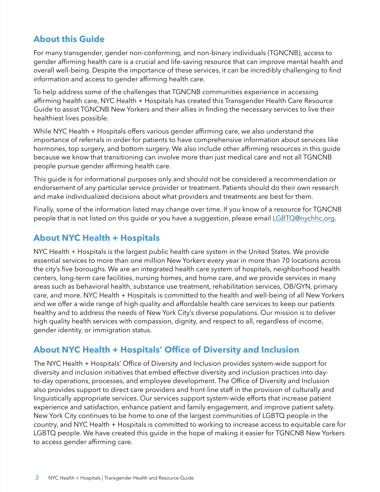# <span id="page-2-1"></span><span id="page-2-0"></span>**About this Guide**

For many transgender, gender non-conforming, and non-binary individuals (TGNCNB), access to gender affirming health care is a crucial and life-saving resource that can improve mental health and overall well-being. Despite the importance of these services, it can be incredibly challenging to find information and access to gender affirming health care.

To help address some of the challenges that TGNCNB communities experience in accessing affirming health care, NYC Health + Hospitals has created this Transgender Health Care Resource Guide to assist TGNCNB New Yorkers and their allies in finding the necessary services to live their healthiest lives possible.

While NYC Health + Hospitals offers various gender affirming care, we also understand the importance of referrals in order for patients to have comprehensive information about services like hormones, top surgery, and bottom surgery. We also include other affirming resources in this guide because we know that transitioning can involve more than just medical care and not all TGNCNB people pursue gender affirming health care.

This guide is for informational purposes only and should not be considered a recommendation or endorsement of any particular service provider or treatment. Patients should do their own research and make individualized decisions about what providers and treatments are best for them.

Finally, some of the information listed may change over time. If you know of a resource for TGNCNB people that is not listed on this guide or you have a suggestion, please email [LGBTQ@nychhc.org](mailto:LGBTQ@nychhc.org).

# **About NYC Health + Hospitals**

NYC Health + Hospitals is the largest public health care system in the United States. We provide essential services to more than one million New Yorkers every year in more than 70 locations across the city's five boroughs. We are an integrated health care system of hospitals, neighborhood health centers, long-term care facilities, nursing homes, and home care, and we provide services in many areas such as behavioral health, substance use treatment, rehabilitation services, OB/GYN, primary care, and more. NYC Health + Hospitals is committed to the health and well-being of all New Yorkers and we offer a wide range of high quality and affordable health care services to keep our patients healthy and to address the needs of New York City's diverse populations. Our mission is to deliver high quality health services with compassion, dignity, and respect to all, regardless of income, gender identity, or immigration status.

# **About NYC Health + Hospitals' Office of Diversity and Inclusion**

The NYC Health + Hospitals' Office of Diversity and Inclusion provides system-wide support for diversity and inclusion initiatives that embed effective diversity and inclusion practices into dayto-day operations, processes, and employee development. The Office of Diversity and Inclusion also provides support to direct care providers and front-line staff in the provision of culturally and linguistically appropriate services. Our services support system-wide efforts that increase patient experience and satisfaction, enhance patient and family engagement, and improve patient safety. New York City continues to be home to one of the largest communities of LGBTQ people in the country, and NYC Health + Hospitals is committed to working to increase access to equitable care for LGBTQ people. We have created this guide in the hope of making it easier for TGNCNB New Yorkers to access gender affirming care.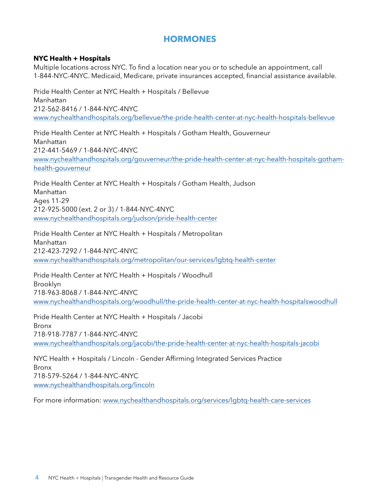# <span id="page-3-0"></span>**HORMONES**

#### **NYC Health + Hospitals**

Multiple locations across NYC. To find a location near you or to schedule an appointment, call 1-844-NYC-4NYC. Medicaid, Medicare, private insurances accepted, financial assistance available.

Pride Health Center at NYC Health + Hospitals / Bellevue Manhattan 212-562-8416 / 1-844-NYC-4NYC [www.nychealthandhospitals.org/bellevue/the-pride-health-center-at-nyc-health-hospitals-bellevue](http://www.nychealthandhospitals.org/bellevue/the-pride-health-center-at-nyc-health-hospitals-bellevue/)

Pride Health Center at NYC Health + Hospitals / Gotham Health, Gouverneur Manhattan 212-441-5469 / 1-844-NYC-4NYC [www.nychealthandhospitals.org/gouverneur/the-pride-health-center-at-nyc-health-hospitals-gotham](http://www.nychealthandhospitals.org/gouverneur/the-pride-health-center-at-nyc-health-hospitals-gotham-health-gouverneur/)[health-gouverneur](http://www.nychealthandhospitals.org/gouverneur/the-pride-health-center-at-nyc-health-hospitals-gotham-health-gouverneur/)

Pride Health Center at NYC Health + Hospitals / Gotham Health, Judson Manhattan Ages 11-29 212-925-5000 (ext. 2 or 3) / 1-844-NYC-4NYC [www.nychealthandhospitals.org/judson/pride-health-center](http://www.nychealthandhospitals.org/judson/pride-health-center)

Pride Health Center at NYC Health + Hospitals / Metropolitan Manhattan 212-423-7292 / 1-844-NYC-4NYC [www.nychealthandhospitals.org/metropolitan/our-services/lgbtq-health-center](http://www.nychealthandhospitals.org/metropolitan/our-services/lgbtq-health-center)

Pride Health Center at NYC Health + Hospitals / Woodhull Brooklyn 718-963-8068 / 1-844-NYC-4NYC [www.nychealthandhospitals.org/woodhull/the-pride-health-center-at-nyc-health-hospitalswoodhull](http://www.nychealthandhospitals.org/woodhull/the-pride-health-center-at-nyc-health-hospitalswoodhull)

Pride Health Center at NYC Health + Hospitals / Jacobi Bronx 718-918-7787 / 1-844-NYC-4NYC www.nychealthandhospitals.org/jacobi/the-pride-health-center-at-nyc-health-hospitals-jacobi

NYC Health + Hospitals / Lincoln - Gender Affirming Integrated Services Practice Bronx 718-579–5264 / 1-844-NYC-4NYC [www.nychealthandhospitals.org/lincoln](https://www.nychealthandhospitals.org/lincoln/)

For more information: [www.nychealthandhospitals.org/services/lgbtq-health-care-services](https://www.nychealthandhospitals.org/services/lgbtq-health-care-services/)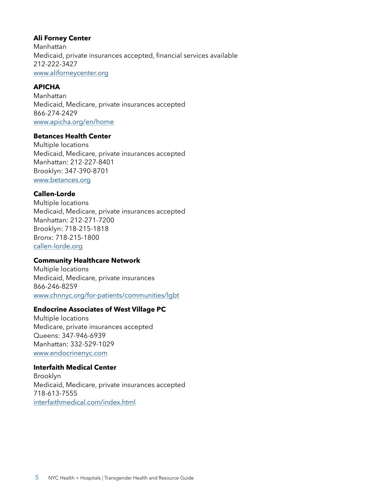#### **Ali Forney Center**

Manhattan Medicaid, private insurances accepted, financial services available [212-222-3427](tel:(212) 222-3427) [www.aliforneycenter.org](https://www.aliforneycenter.org/)

#### **APICHA**

Manhattan Medicaid, Medicare, private insurances accepted 866-274-2429 [www.apicha.org/en/home](https://www.apicha.org/en/home)

#### **Betances Health Center**

Multiple locations Medicaid, Medicare, private insurances accepted Manhattan: 212-227-8401 Brooklyn: 347-390-8701 [www.betances.org](https://www.betances.org/)

#### **Callen-Lorde**

Multiple locations Medicaid, Medicare, private insurances accepted Manhattan: 212-271-7200 Brooklyn: 718-215-1818 Bronx: 718-215-1800 [callen-lorde.org](https://callen-lorde.org/)

#### **Community Healthcare Network**

Multiple locations Medicaid, Medicare, private insurances 866-246-8259 [www.chnnyc.org/for-patients/communities/lgbt](https://www.chnnyc.org/for-patients/communities/lgbt/)

#### **Endocrine Associates of West Village PC**

Multiple locations Medicare, private insurances accepted Queens: 347-946-6939 Manhattan: 332-529-1029 [www.endocrinenyc.com](https://www.endocrinenyc.com/)

#### **Interfaith Medical Center**

Brooklyn Medicaid, Medicare, private insurances accepted 718-613-7555 [interfaithmedical.com/index.html](https://interfaithmedical.com/index.html)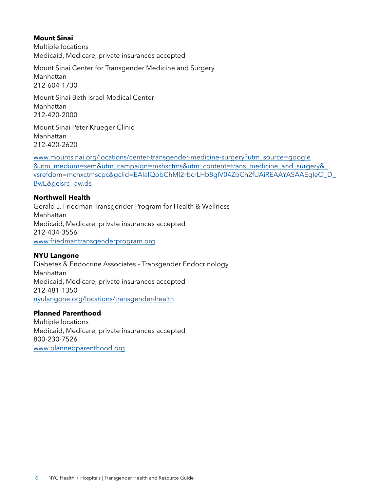#### **Mount Sinai**

Multiple locations Medicaid, Medicare, private insurances accepted

Mount Sinai Center for Transgender Medicine and Surgery Manhattan 212-604-1730

Mount Sinai Beth Israel Medical Center Manhattan 212-420-2000

Mount Sinai Peter Krueger Clinic Manhattan 212-420-2620

[www.mountsinai.org/locations/center-transgender-medicine-surgery?utm\\_source=google](https://www.mountsinai.org/locations/center-transgender-medicine-surgery?utm_source=google&utm_medium=sem&utm_campaign=mshsctms&utm_content=trans_medicine_and_surgery&_vsrefdom=mchxctmscpc&gclid=EAIaIQobChMI2rbcrLHb8gIV04ZbCh2fUAiREAAYASAAEgIeO_D_BwE&gclsrc=aw.ds) [&utm\\_medium=sem&utm\\_campaign=mshsctms&utm\\_content=trans\\_medicine\\_and\\_surgery&\\_](https://www.mountsinai.org/locations/center-transgender-medicine-surgery?utm_source=google&utm_medium=sem&utm_campaign=mshsctms&utm_content=trans_medicine_and_surgery&_vsrefdom=mchxctmscpc&gclid=EAIaIQobChMI2rbcrLHb8gIV04ZbCh2fUAiREAAYASAAEgIeO_D_BwE&gclsrc=aw.ds) [vsrefdom=mchxctmscpc&gclid=EAIaIQobChMI2rbcrLHb8gIV04ZbCh2fUAiREAAYASAAEgIeO\\_D\\_](https://www.mountsinai.org/locations/center-transgender-medicine-surgery?utm_source=google&utm_medium=sem&utm_campaign=mshsctms&utm_content=trans_medicine_and_surgery&_vsrefdom=mchxctmscpc&gclid=EAIaIQobChMI2rbcrLHb8gIV04ZbCh2fUAiREAAYASAAEgIeO_D_BwE&gclsrc=aw.ds) [BwE&gclsrc=aw.ds](https://www.mountsinai.org/locations/center-transgender-medicine-surgery?utm_source=google&utm_medium=sem&utm_campaign=mshsctms&utm_content=trans_medicine_and_surgery&_vsrefdom=mchxctmscpc&gclid=EAIaIQobChMI2rbcrLHb8gIV04ZbCh2fUAiREAAYASAAEgIeO_D_BwE&gclsrc=aw.ds)

#### **Northwell Health**

Gerald J. Friedman Transgender Program for Health & Wellness Manhattan Medicaid, Medicare, private insurances accepted 212-434-3556 [www.friedmantransgenderprogram.org](https://www.friedmantransgenderprogram.org/)

#### **NYU Langone**

Diabetes & Endocrine Associates – Transgender Endocrinology Manhattan Medicaid, Medicare, private insurances accepted [212-481-1350](tel:212-481-1350) [nyulangone.org/locations/transgender-health](https://nyulangone.org/locations/transgender-health)

#### **Planned Parenthood**

Multiple locations Medicaid, Medicare, private insurances accepted 800-230-7526 [www.plannedparenthood.org](https://www.plannedparenthood.org/)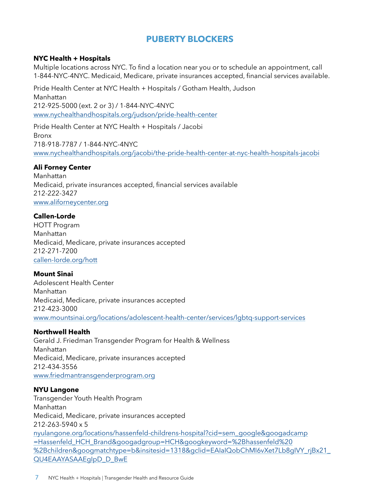# <span id="page-6-0"></span>**PUBERTY BLOCKERS**

#### **NYC Health + Hospitals**

Multiple locations across NYC. To find a location near you or to schedule an appointment, call 1-844-NYC-4NYC. Medicaid, Medicare, private insurances accepted, financial services available.

Pride Health Center at NYC Health + Hospitals / Gotham Health, Judson Manhattan 212-925-5000 (ext. 2 or 3) / 1-844-NYC-4NYC www.nychealthandhospitals.org/judson/pride-health-center

Pride Health Center at NYC Health + Hospitals / Jacobi Bronx 718-918-7787 / 1-844-NYC-4NYC www.nychealthandhospitals.org/jacobi/the-pride-health-center-at-nyc-health-hospitals-jacobi

#### **Ali Forney Center**

Manhattan Medicaid, private insurances accepted, financial services available 212-222-3427 [www.aliforneycenter.org](https://www.aliforneycenter.org/)

#### **Callen-Lorde**

HOTT Program Manhattan Medicaid, Medicare, private insurances accepted 212-271-7200 [callen-lorde.org/hott](https://callen-lorde.org/hott/)

#### **Mount Sinai**

Adolescent Health Center Manhattan Medicaid, Medicare, private insurances accepted 212-423-3000 [www.mountsinai.org/locations/adolescent-health-center/services/lgbtq-support-services](https://www.mountsinai.org/locations/adolescent-health-center/services/lgbtq-support-services)

#### **Northwell Health**

Gerald J. Friedman Transgender Program for Health & Wellness Manhattan Medicaid, Medicare, private insurances accepted 212-434-3556 [www.friedmantransgenderprogram.org](https://www.friedmantransgenderprogram.org/)

#### **NYU Langone**

Transgender Youth Health Program Manhattan Medicaid, Medicare, private insurances accepted 212-263-5940 x 5 [nyulangone.org/locations/hassenfeld-childrens-hospital?cid=sem\\_google&googadcamp](https://nyulangone.org/locations/hassenfeld-childrens-hospital?cid=sem_google&googadcamp=Hassenfeld_HCH_Brand&googadgroup=HCH&googkeyword=%2Bhassenfeld %2Bchildren&googmatchtype=b&insitesid=1318&gclid=EAIaIQobChMI6vXet7Lb8gIVY_rjBx21_QU4EAAYASAAEgIpD_D_BwE) [=Hassenfeld\\_HCH\\_Brand&googadgroup=HCH&googkeyword=%2Bhassenfeld%20](https://nyulangone.org/locations/hassenfeld-childrens-hospital?cid=sem_google&googadcamp=Hassenfeld_HCH_Brand&googadgroup=HCH&googkeyword=%2Bhassenfeld %2Bchildren&googmatchtype=b&insitesid=1318&gclid=EAIaIQobChMI6vXet7Lb8gIVY_rjBx21_QU4EAAYASAAEgIpD_D_BwE) [%2Bchildren&googmatchtype=b&insitesid=1318&gclid=EAIaIQobChMI6vXet7Lb8gIVY\\_rjBx21\\_](https://nyulangone.org/locations/hassenfeld-childrens-hospital?cid=sem_google&googadcamp=Hassenfeld_HCH_Brand&googadgroup=HCH&googkeyword=%2Bhassenfeld %2Bchildren&googmatchtype=b&insitesid=1318&gclid=EAIaIQobChMI6vXet7Lb8gIVY_rjBx21_QU4EAAYASAAEgIpD_D_BwE) [QU4EAAYASAAEgIpD\\_D\\_BwE](https://nyulangone.org/locations/hassenfeld-childrens-hospital?cid=sem_google&googadcamp=Hassenfeld_HCH_Brand&googadgroup=HCH&googkeyword=%2Bhassenfeld %2Bchildren&googmatchtype=b&insitesid=1318&gclid=EAIaIQobChMI6vXet7Lb8gIVY_rjBx21_QU4EAAYASAAEgIpD_D_BwE)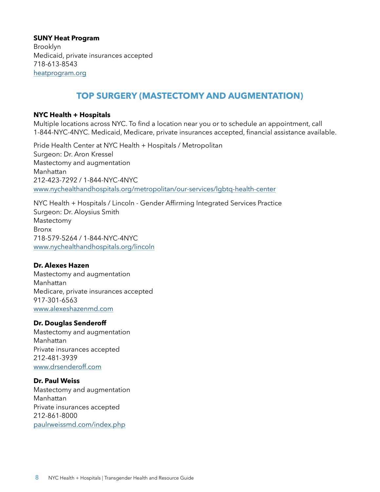**SUNY Heat Program**  Brooklyn Medicaid, private insurances accepted 718-613-8543 [heatprogram.org](https://heatprogram.org/)

# <span id="page-7-0"></span>**TOP SURGERY (MASTECTOMY AND AUGMENTATION)**

#### **NYC Health + Hospitals**

Multiple locations across NYC. To find a location near you or to schedule an appointment, call 1-844-NYC-4NYC. Medicaid, Medicare, private insurances accepted, financial assistance available.

Pride Health Center at NYC Health + Hospitals / Metropolitan Surgeon: Dr. Aron Kressel Mastectomy and augmentation Manhattan 212-423-7292 / 1-844-NYC-4NYC www.nychealthandhospitals.org/metropolitan/our-services/lgbtq-health-center

NYC Health + Hospitals / Lincoln - Gender Affirming Integrated Services Practice Surgeon: Dr. Aloysius Smith Mastectomy Bronx 718-579-5264 / 1-844-NYC-4NYC www.nychealthandhospitals.org/lincoln

#### **Dr. Alexes Hazen**

Mastectomy and augmentation Manhattan Medicare, private insurances accepted 917-301-6563 [www.alexeshazenmd.com](https://www.alexeshazenmd.com/)

#### **Dr. Douglas Senderoff**

Mastectomy and augmentation Manhattan Private insurances accepted 212-481-3939 [www.drsenderoff.com](http://www.drsenderoff.com/)

#### **Dr. Paul Weiss**

Mastectomy and augmentation Manhattan Private insurances accepted 212-861-8000 [paulrweissmd.com/index.php](http://paulrweissmd.com/index.php)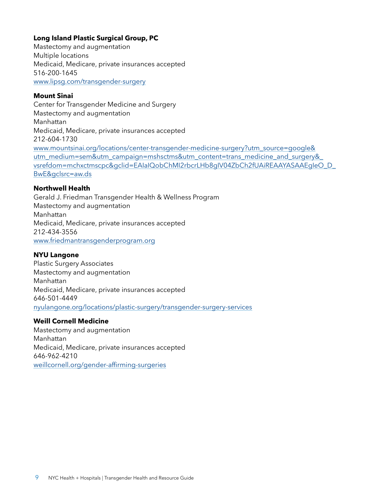#### **Long Island Plastic Surgical Group, PC**

Mastectomy and augmentation Multiple locations Medicaid, Medicare, private insurances accepted 516-200-1645 [www.lipsg.com/transgender-surgery](https://www.lipsg.com/transgender-surgery/)

#### **Mount Sinai**

Center for Transgender Medicine and Surgery Mastectomy and augmentation Manhattan Medicaid, Medicare, private insurances accepted 212-604-1730 [www.mountsinai.org/locations/center-transgender-medicine-surgery?utm\\_source=google&](https://www.mountsinai.org/locations/center-transgender-medicine-surgery?utm_source=google&utm_medium=sem&utm_campaign=mshsctms&utm_content=trans_medicine_and_surgery&_vsrefdom=mchxctmscpc&gclid=EAIaIQobChMI2rbcrLHb8gIV04ZbCh2fUAiREAAYASAAEgIeO_D_BwE&gclsrc=aw.ds) [utm\\_medium=sem&utm\\_campaign=mshsctms&utm\\_content=trans\\_medicine\\_and\\_surgery&\\_](https://www.mountsinai.org/locations/center-transgender-medicine-surgery?utm_source=google&utm_medium=sem&utm_campaign=mshsctms&utm_content=trans_medicine_and_surgery&_vsrefdom=mchxctmscpc&gclid=EAIaIQobChMI2rbcrLHb8gIV04ZbCh2fUAiREAAYASAAEgIeO_D_BwE&gclsrc=aw.ds) [vsrefdom=mchxctmscpc&gclid=EAIaIQobChMI2rbcrLHb8gIV04ZbCh2fUAiREAAYASAAEgIeO\\_D\\_](https://www.mountsinai.org/locations/center-transgender-medicine-surgery?utm_source=google&utm_medium=sem&utm_campaign=mshsctms&utm_content=trans_medicine_and_surgery&_vsrefdom=mchxctmscpc&gclid=EAIaIQobChMI2rbcrLHb8gIV04ZbCh2fUAiREAAYASAAEgIeO_D_BwE&gclsrc=aw.ds) [BwE&gclsrc=aw.ds](https://www.mountsinai.org/locations/center-transgender-medicine-surgery?utm_source=google&utm_medium=sem&utm_campaign=mshsctms&utm_content=trans_medicine_and_surgery&_vsrefdom=mchxctmscpc&gclid=EAIaIQobChMI2rbcrLHb8gIV04ZbCh2fUAiREAAYASAAEgIeO_D_BwE&gclsrc=aw.ds)

#### **Northwell Health**

Gerald J. Friedman Transgender Health & Wellness Program Mastectomy and augmentation Manhattan Medicaid, Medicare, private insurances accepted 212-434-3556 [www.friedmantransgenderprogram.org](https://www.friedmantransgenderprogram.org/)

#### **NYU Langone**

Plastic Surgery Associates Mastectomy and augmentation Manhattan Medicaid, Medicare, private insurances accepted 646-501-4449 [nyulangone.org/locations/plastic-surgery/transgender-surgery-services](https://nyulangone.org/locations/plastic-surgery/transgender-surgery-services)

#### **Weill Cornell Medicine**

Mastectomy and augmentation Manhattan Medicaid, Medicare, private insurances accepted 646-962-4210 [weillcornell.org/gender-affirming-surgeries](https://weillcornell.org/gender-affirming-surgeries)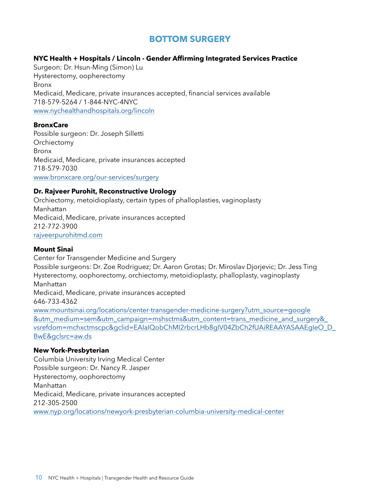# <span id="page-9-0"></span>**BOTTOM SURGERY**

#### **NYC Health + Hospitals / Lincoln - Gender Affirming Integrated Services Practice**

Surgeon: Dr. Hsun-Ming (Simon) Lu Hysterectomy, oopherectomy Bronx Medicaid, Medicare, private insurances accepted, financial services available 718-579-5264 / 1-844-NYC-4NYC www.nychealthandhospitals.org/lincoln

#### **BronxCare**

Possible surgeon: Dr. Joseph Silletti **Orchiectomy** Bronx Medicaid, Medicare, private insurances accepted 718-579-7030 [www.bronxcare.org/our-services/surgery](https://www.bronxcare.org/our-services/surgery/)

#### **Dr. Rajveer Purohit, Reconstructive Urology**

Orchiectomy, metoidioplasty, certain types of phalloplasties, vaginoplasty Manhattan Medicaid, Medicare, private insurances accepted 212-772-3900 [rajveerpurohitmd.com](https://rajveerpurohitmd.com/)

#### **Mount Sinai**

Center for Transgender Medicine and Surgery Possible surgeons: Dr. Zoe Rodriguez; Dr. Aaron Grotas; Dr. Miroslav Djorjevic; Dr. Jess Ting Hysterectomy, oophorectomy, orchiectomy, metoidioplasty, phalloplasty, vaginoplasty Manhattan Medicaid, Medicare, private insurances accepted 646-733-4362 [www.mountsinai.org/locations/center-transgender-medicine-surgery?utm\\_source=google](https://www.mountsinai.org/locations/center-transgender-medicine-surgery?utm_source=google&utm_medium=sem&utm_campaign=mshsctms&utm_content=trans_medicine_and_surgery&_vsrefdom=mchxctmscpc&gclid=EAIaIQobChMI2rbcrLHb8gIV04ZbCh2fUAiREAAYASAAEgIeO_D_BwE&gclsrc=aw.ds) [&utm\\_medium=sem&utm\\_campaign=mshsctms&utm\\_content=trans\\_medicine\\_and\\_surgery&\\_](https://www.mountsinai.org/locations/center-transgender-medicine-surgery?utm_source=google&utm_medium=sem&utm_campaign=mshsctms&utm_content=trans_medicine_and_surgery&_vsrefdom=mchxctmscpc&gclid=EAIaIQobChMI2rbcrLHb8gIV04ZbCh2fUAiREAAYASAAEgIeO_D_BwE&gclsrc=aw.ds) [vsrefdom=mchxctmscpc&gclid=EAIaIQobChMI2rbcrLHb8gIV04ZbCh2fUAiREAAYASAAEgIeO\\_D\\_](https://www.mountsinai.org/locations/center-transgender-medicine-surgery?utm_source=google&utm_medium=sem&utm_campaign=mshsctms&utm_content=trans_medicine_and_surgery&_vsrefdom=mchxctmscpc&gclid=EAIaIQobChMI2rbcrLHb8gIV04ZbCh2fUAiREAAYASAAEgIeO_D_BwE&gclsrc=aw.ds) [BwE&gclsrc=aw.ds](https://www.mountsinai.org/locations/center-transgender-medicine-surgery?utm_source=google&utm_medium=sem&utm_campaign=mshsctms&utm_content=trans_medicine_and_surgery&_vsrefdom=mchxctmscpc&gclid=EAIaIQobChMI2rbcrLHb8gIV04ZbCh2fUAiREAAYASAAEgIeO_D_BwE&gclsrc=aw.ds)

#### **New York-Presbyterian**

Columbia University Irving Medical Center Possible surgeon: Dr. Nancy R. Jasper Hysterectomy, oophorectomy Manhattan Medicaid, Medicare, private insurances accepted [212-305-2500](tel:+1212-305-2500) [www.nyp.org/locations/newyork-presbyterian-columbia-university-medical-center](https://www.nyp.org/locations/newyork-presbyterian-columbia-university-medical-center)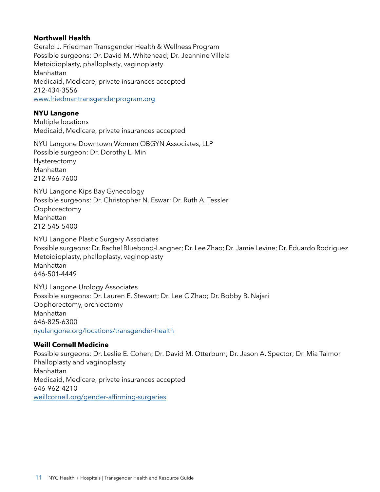#### **Northwell Health**

Gerald J. Friedman Transgender Health & Wellness Program Possible surgeons: Dr. David M. Whitehead; Dr. Jeannine Villela Metoidioplasty, phalloplasty, vaginoplasty Manhattan Medicaid, Medicare, private insurances accepted 212-434-3556 [www.friedmantransgenderprogram.org](https://www.friedmantransgenderprogram.org/)

#### **NYU Langone**

Multiple locations Medicaid, Medicare, private insurances accepted

NYU Langone Downtown Women OBGYN Associates, LLP Possible surgeon: Dr. Dorothy L. Min Hysterectomy Manhattan 212-966-7600

NYU Langone Kips Bay Gynecology Possible surgeons: Dr. [Christopher N. Eswar;](https://nyulangone.org/doctors/1598907008/christopher-n-eswar) Dr. [Ruth A. Tessler](https://nyulangone.org/doctors/1740344969/ruth-a-tessler) Oophorectomy Manhattan 212-545-5400

NYU Langone Plastic Surgery Associates Possible surgeons: Dr. Rachel Bluebond-Langner; Dr. Lee Zhao; Dr. Jamie Levine; Dr. Eduardo Rodriguez Metoidioplasty, phalloplasty, vaginoplasty Manhattan 646-501-4449

NYU Langone Urology Associates Possible surgeons: Dr. [Lauren E. Stewart;](https://nyulangone.org/doctors/1346683034/lauren-e-stewart) Dr. Lee C Zhao; Dr. Bobby B. Najari Oophorectomy, orchiectomy Manhattan 646-825-6300 [nyulangone.org/locations/transgender-health](https://nyulangone.org/locations/transgender-health)

#### **Weill Cornell Medicine**

Possible surgeons: Dr. Leslie E. Cohen; Dr. David M. Otterburn; Dr. Jason A. Spector; Dr. Mia Talmor Phalloplasty and vaginoplasty Manhattan Medicaid, Medicare, private insurances accepted 646-962-4210 [weillcornell.org/gender-affirming-surgeries](https://weillcornell.org/gender-affirming-surgeries)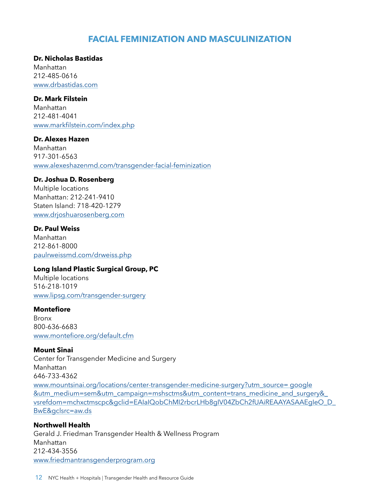# <span id="page-11-0"></span>**FACIAL FEMINIZATION AND MASCULINIZATION**

#### **Dr. Nicholas Bastidas**

Manhattan [212-485-0616](tel:12124850616)  [www.drbastidas.com](https://www.drbastidas.com/)

#### **Dr. Mark Filstein**

Manhattan 212-481-4041 [www.markfilstein.com/index.php](https://www.markfilstein.com/index.php)

#### **Dr. Alexes Hazen**

Manhattan 917-301-6563 [www.alexeshazenmd.com/transgender-facial-feminization](https://www.alexeshazenmd.com/transgender-facial-feminization)

#### **Dr. Joshua D. Rosenberg**

Multiple locations Manhattan: 212-241-9410 Staten Island: 718-420-1279 [www.drjoshuarosenberg.com](https://www.drjoshuarosenberg.com/)

#### **Dr. Paul Weiss**

Manhattan 212-861-8000 [paulrweissmd.com/drweiss.php](http://paulrweissmd.com/drweiss.php)

#### **Long Island Plastic Surgical Group, PC**

Multiple locations 516-218-1019 [www.lipsg.com/transgender-surgery](https://www.lipsg.com/transgender-surgery/)

#### **Montefiore**

Bronx 800-636-6683 [www.montefiore.org/default.cfm](https://www.montefiore.org/default.cfm)

#### **Mount Sinai**

Center for Transgender Medicine and Surgery Manhattan 646-733-4362 [www.mountsinai.org/locations/center-transgender-medicine-surgery?utm\\_source= google](https://www.mountsinai.org/locations/center-transgender-medicine-surgery?utm_source=google&utm_medium=sem&utm_campaign=mshsctms&utm_content=trans_medicine_and_surgery&_vsrefdom=mchxctmscpc&gclid=EAIaIQobChMI2rbcrLHb8gIV04ZbCh2fUAiREAAYASAAEgIeO_D_BwE&gclsrc=aw.ds ) [&utm\\_medium=sem&utm\\_campaign=mshsctms&utm\\_content=trans\\_medicine\\_and\\_surgery&\\_](https://www.mountsinai.org/locations/center-transgender-medicine-surgery?utm_source=google&utm_medium=sem&utm_campaign=mshsctms&utm_content=trans_medicine_and_surgery&_vsrefdom=mchxctmscpc&gclid=EAIaIQobChMI2rbcrLHb8gIV04ZbCh2fUAiREAAYASAAEgIeO_D_BwE&gclsrc=aw.ds ) [vsrefdom=mchxctmscpc&gclid=EAIaIQobChMI2rbcrLHb8gIV04ZbCh2fUAiREAAYASAAEgIeO\\_D\\_](https://www.mountsinai.org/locations/center-transgender-medicine-surgery?utm_source=google&utm_medium=sem&utm_campaign=mshsctms&utm_content=trans_medicine_and_surgery&_vsrefdom=mchxctmscpc&gclid=EAIaIQobChMI2rbcrLHb8gIV04ZbCh2fUAiREAAYASAAEgIeO_D_BwE&gclsrc=aw.ds ) [BwE&gclsrc=aw.ds](https://www.mountsinai.org/locations/center-transgender-medicine-surgery?utm_source=google&utm_medium=sem&utm_campaign=mshsctms&utm_content=trans_medicine_and_surgery&_vsrefdom=mchxctmscpc&gclid=EAIaIQobChMI2rbcrLHb8gIV04ZbCh2fUAiREAAYASAAEgIeO_D_BwE&gclsrc=aw.ds )

#### **Northwell Health**

Gerald J. Friedman Transgender Health & Wellness Program Manhattan 212-434-3556 [www.friedmantransgenderprogram.org](https://www.friedmantransgenderprogram.org/)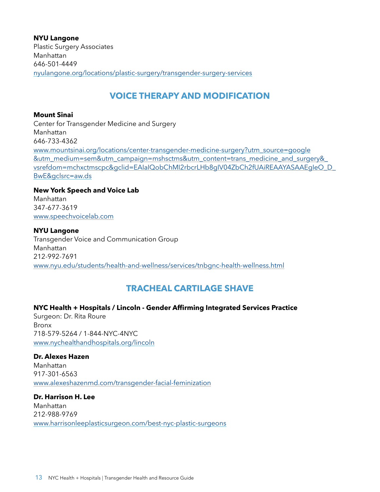**NYU Langone** Plastic Surgery Associates Manhattan 646-501-4449 [nyulangone.org/locations/plastic-surgery/transgender-surgery-services](https://nyulangone.org/locations/plastic-surgery/transgender-surgery-services)

# <span id="page-12-0"></span>**VOICE THERAPY AND MODIFICATION**

#### **Mount Sinai**

Center for Transgender Medicine and Surgery Manhattan 646-733-4362 [www.mountsinai.org/locations/center-transgender-medicine-surgery?utm\\_source=google](https://www.mountsinai.org/locations/center-transgender-medicine-surgery?utm_source=google&utm_medium=sem&utm_campaign=mshsctms&utm_content=trans_medicine_and_surgery&_vsrefdom=mchxctmscpc&gclid=EAIaIQobChMI2rbcrLHb8gIV04ZbCh2fUAiREAAYASAAEgIeO_D_BwE&gclsrc=aw.ds ) [&utm\\_medium=sem&utm\\_campaign=mshsctms&utm\\_content=trans\\_medicine\\_and\\_surgery&\\_](https://www.mountsinai.org/locations/center-transgender-medicine-surgery?utm_source=google&utm_medium=sem&utm_campaign=mshsctms&utm_content=trans_medicine_and_surgery&_vsrefdom=mchxctmscpc&gclid=EAIaIQobChMI2rbcrLHb8gIV04ZbCh2fUAiREAAYASAAEgIeO_D_BwE&gclsrc=aw.ds ) [vsrefdom=mchxctmscpc&gclid=EAIaIQobChMI2rbcrLHb8gIV04ZbCh2fUAiREAAYASAAEgIeO\\_D\\_](https://www.mountsinai.org/locations/center-transgender-medicine-surgery?utm_source=google&utm_medium=sem&utm_campaign=mshsctms&utm_content=trans_medicine_and_surgery&_vsrefdom=mchxctmscpc&gclid=EAIaIQobChMI2rbcrLHb8gIV04ZbCh2fUAiREAAYASAAEgIeO_D_BwE&gclsrc=aw.ds ) [BwE&gclsrc=aw.ds](https://www.mountsinai.org/locations/center-transgender-medicine-surgery?utm_source=google&utm_medium=sem&utm_campaign=mshsctms&utm_content=trans_medicine_and_surgery&_vsrefdom=mchxctmscpc&gclid=EAIaIQobChMI2rbcrLHb8gIV04ZbCh2fUAiREAAYASAAEgIeO_D_BwE&gclsrc=aw.ds )

# **New York Speech and Voice Lab**

Manhattan 347-677-3619 [www.speechvoicelab.com](https://www.speechvoicelab.com/)

#### **NYU Langone**

Transgender Voice and Communication Group Manhattan 212-992-7691 [www.nyu.edu/students/health-and-wellness/services/tnbgnc-health-wellness.html](https://www.nyu.edu/students/health-and-wellness/services/tnbgnc-health-wellness.html)

# <span id="page-12-1"></span>**TRACHEAL CARTILAGE SHAVE**

#### **NYC Health + Hospitals / Lincoln - Gender Affirming Integrated Services Practice**

Surgeon: Dr. Rita Roure Bronx 718-579-5264 / 1-844-NYC-4NYC www.nychealthandhospitals.org/lincoln

# **Dr. Alexes Hazen**

Manhattan 917-301-6563 [www.alexeshazenmd.com/transgender-facial-feminization](https://www.alexeshazenmd.com/transgender-facial-feminization)

**Dr. Harrison H. Lee** Manhattan 212-988-9769 [www.harrisonleeplasticsurgeon.com/best-nyc-plastic-surgeons](http://www.harrisonleeplasticsurgeon.com/best-nyc-plastic-surgeons)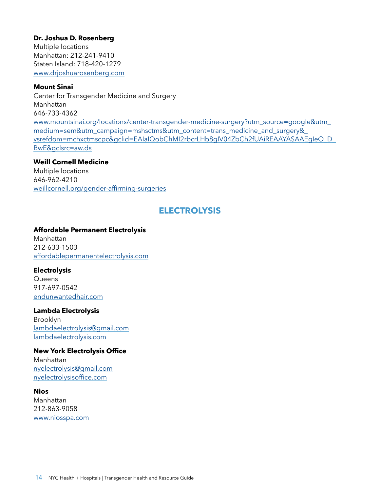#### **Dr. Joshua D. Rosenberg**

Multiple locations Manhattan: 212-241-9410 Staten Island: 718-420-1279 [www.drjoshuarosenberg.com](https://www.drjoshuarosenberg.com/)

#### **Mount Sinai**

Center for Transgender Medicine and Surgery Manhattan 646-733-4362 [www.mountsinai.org/locations/center-transgender-medicine-surgery?utm\\_source=google&utm\\_](https://www.mountsinai.org/locations/center-transgender-medicine-surgery?utm_source=google&utm_medium=sem&utm_campaign=mshsctms&utm_content=trans_medicine_and_surgery&_vsrefdom=mchxctmscpc&gclid=EAIaIQobChMI2rbcrLHb8gIV04ZbCh2fUAiREAAYASAAEgIeO_D_BwE&gclsrc=aw.ds) [medium=sem&utm\\_campaign=mshsctms&utm\\_content=trans\\_medicine\\_and\\_surgery&\\_](https://www.mountsinai.org/locations/center-transgender-medicine-surgery?utm_source=google&utm_medium=sem&utm_campaign=mshsctms&utm_content=trans_medicine_and_surgery&_vsrefdom=mchxctmscpc&gclid=EAIaIQobChMI2rbcrLHb8gIV04ZbCh2fUAiREAAYASAAEgIeO_D_BwE&gclsrc=aw.ds) [vsrefdom=mchxctmscpc&gclid=EAIaIQobChMI2rbcrLHb8gIV04ZbCh2fUAiREAAYASAAEgIeO\\_D\\_](https://www.mountsinai.org/locations/center-transgender-medicine-surgery?utm_source=google&utm_medium=sem&utm_campaign=mshsctms&utm_content=trans_medicine_and_surgery&_vsrefdom=mchxctmscpc&gclid=EAIaIQobChMI2rbcrLHb8gIV04ZbCh2fUAiREAAYASAAEgIeO_D_BwE&gclsrc=aw.ds) [BwE&gclsrc=aw.ds](https://www.mountsinai.org/locations/center-transgender-medicine-surgery?utm_source=google&utm_medium=sem&utm_campaign=mshsctms&utm_content=trans_medicine_and_surgery&_vsrefdom=mchxctmscpc&gclid=EAIaIQobChMI2rbcrLHb8gIV04ZbCh2fUAiREAAYASAAEgIeO_D_BwE&gclsrc=aw.ds)

#### **Weill Cornell Medicine**

Multiple locations 646-962-4210 [weillcornell.org/gender-affirming-surgeries](https://weillcornell.org/gender-affirming-surgeries)

# <span id="page-13-0"></span>**ELECTROLYSIS**

#### **Affordable Permanent Electrolysis**

Manhattan 212-633-1503 [affordablepermanentelectrolysis.com](http://affordablepermanentelectrolysis.com/)

#### **Electrolysis**

**Queens** 917-697-0542 [endunwantedhair.com](http://endunwantedhair.com/)

#### **Lambda Electrolysis**

Brooklyn [lambdaelectrolysis@gmail.com](mailto:lambdaelectrolysis@gmail.com) [lambdaelectrolysis.com](https://lambdaelectrolysis.com/)

#### **New York Electrolysis Office**

Manhattan [nyelectrolysis@gmail.com](mailto:nyelectrolysis@gmail.com) [nyelectrolysisoffice.com](http://nyelectrolysisoffice.com/)

#### **Nios**

Manhattan 212-863-9058 [www.niosspa.com](https://www.niosspa.com/)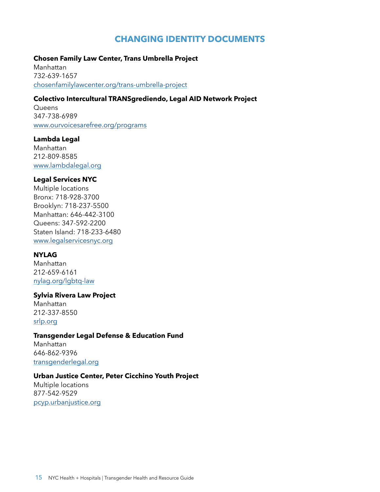## <span id="page-14-0"></span>**CHANGING IDENTITY DOCUMENTS**

#### **Chosen Family Law Center, Trans Umbrella Project**

Manhattan 732-639-1657 [chosenfamilylawcenter.org/trans-umbrella-project](https://chosenfamilylawcenter.org/trans-umbrella-project)

#### **Colectivo Intercultural TRANSgrediendo, Legal AID Network Project**

**Queens** 347-738-6989 [www.ourvoicesarefree.org/programs](https://www.ourvoicesarefree.org/programs)

#### **Lambda Legal**

Manhattan 212-809-8585 [www.lambdalegal.org](https://www.lambdalegal.org/)

#### **Legal Services NYC**

Multiple locations Bronx: 718-928-3700 Brooklyn: 718-237-5500 Manhattan: 646-442-3100 Queens: 347-592-2200 Staten Island: 718-233-6480 [www.legalservicesnyc.org](https://www.legalservicesnyc.org/)

#### **NYLAG**

Manhattan 212-659-6161 [nylag.org/lgbtq-law](https://nylag.org/lgbtq-law/)

#### **Sylvia Rivera Law Project**

Manhattan 212-337-8550 [srlp.org](https://srlp.org/)

#### **Transgender Legal Defense & Education Fund**

Manhattan 646-862-9396 [transgenderlegal.org](https://www.transgenderlegal.org/)

#### **Urban Justice Center, Peter Cicchino Youth Project**

Multiple locations 877-542-9529 [pcyp.urbanjustice.org](https://pcyp.urbanjustice.org/)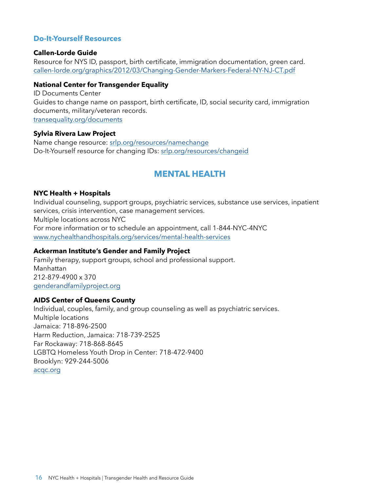#### **Do-It-Yourself Resources**

#### **Callen-Lorde Guide**

Resource for NYS ID, passport, birth certificate, immigration documentation, green card. callen-lorde.org/graphics/2012/03/Changing-Gender-Markers-Federal-NY-NJ-CT.pdf

#### **National Center for Transgender Equality**

ID Documents Center Guides to change name on passport, birth certificate, ID, social security card, immigration documents, military/veteran records. [transequality.org/documents](https://transequality.org/documents)

#### **Sylvia Rivera Law Project**

Name change resource: [srlp.org/resources/namechange](https://srlp.org/resources/namechange/) Do-It-Yourself resource for changing IDs: [srlp.org/resources/changeid](https://srlp.org/resources/changeid/)

# <span id="page-15-0"></span>**MENTAL HEALTH**

#### **NYC Health + Hospitals**

Individual counseling, support groups, psychiatric services, substance use services, inpatient services, crisis intervention, case management services. Multiple locations across NYC For more information or to schedule an appointment, call 1-844-NYC-4NYC www.nychealthandhospitals.org/services/mental-health-services

#### **Ackerman Institute's Gender and Family Project**

Family therapy, support groups, school and professional support. Manhattan 212-879-4900 x 370 [genderandfamilyproject.org](https://genderandfamilyproject.org/)

#### **AIDS Center of Queens County**

Individual, couples, family, and group counseling as well as psychiatric services. Multiple locations Jamaica: [718-896-2500](tel:7188962500) Harm Reduction, Jamaica: [718-739-2525](tel:7187392525) Far Rockaway: [718-868-8645](tel:7188688645) LGBTQ Homeless Youth Drop in Center: [718-472-9400](tel:7184729400) Brooklyn: 929-244-5006 [acqc.org](https://acqc.org/)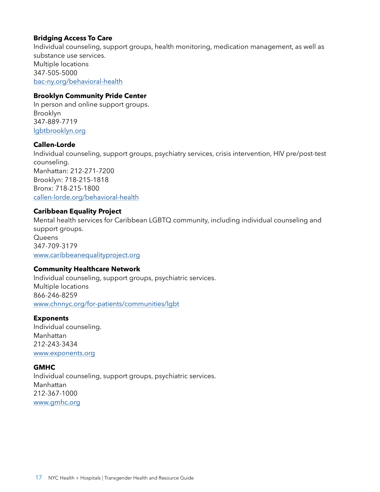#### **Bridging Access To Care**

Individual counseling, support groups, health monitoring, medication management, as well as substance use services. Multiple locations 347-505-5000 [bac-ny.org/behavioral-health](https://bac-ny.org/behavioral-health/)

#### **Brooklyn Community Pride Center**

In person and online support groups. Brooklyn 347-889-7719 [lgbtbrooklyn.org](https://lgbtbrooklyn.org/)

#### **Callen-Lorde**

Individual counseling, support groups, psychiatry services, crisis intervention, HIV pre/post-test counseling. Manhattan: 212-271-7200 Brooklyn: 718-215-1818 Bronx: 718-215-1800 [callen-lorde.org/behavioral-health](https://callen-lorde.org/behavioral-health/)

#### **Caribbean Equality Project**

Mental health services for Caribbean LGBTQ community, including individual counseling and support groups. **Queens** 347-709-3179 [www.caribbeanequalityproject.org](https://www.caribbeanequalityproject.org/)

#### **Community Healthcare Network**

Individual counseling, support groups, psychiatric services. Multiple locations 866-246-8259 [www.chnnyc.org/for-patients/communities/lgbt](https://www.chnnyc.org/for-patients/communities/lgbt/)

#### **Exponents**

Individual counseling. Manhattan 212-243-3434 [www.exponents.org](https://www.exponents.org/)

#### **GMHC**

Individual counseling, support groups, psychiatric services. Manhattan 212-367-1000 [www.gmhc.org](https://www.gmhc.org/)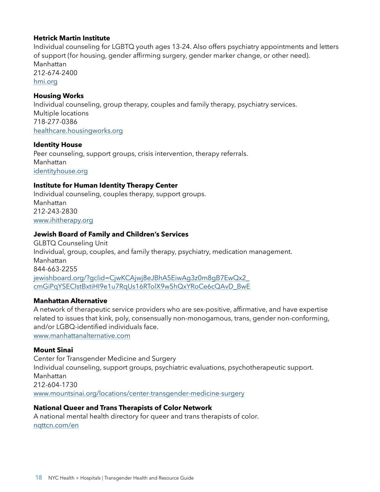#### **Hetrick Martin Institute**

Individual counseling for LGBTQ youth ages 13-24. Also offers psychiatry appointments and letters of support (for housing, gender affirming surgery, gender marker change, or other need). Manhattan 212-674-2400 [hmi.org](https://hmi.org/)

#### **Housing Works**

Individual counseling, group therapy, couples and family therapy, psychiatry services. Multiple locations 718-277-0386 [healthcare.housingworks.org](https://healthcare.housingworks.org/)

#### **Identity House**

Peer counseling, support groups, crisis intervention, therapy referrals. Manhattan [identityhouse.org](https://identityhouse.org/)

#### **Institute for Human Identity Therapy Center**

Individual counseling, couples therapy, support groups. Manhattan 212-243-2830 [www.ihitherapy.org](http://www.ihitherapy.org/)

#### **Jewish Board of Family and Children's Services**

GLBTQ Counseling Unit Individual, group, couples, and family therapy, psychiatry, medication management. Manhattan 844-663-2255 [jewishboard.org/?gclid=CjwKCAjwj8eJBhA5EiwAg3z0m8gB7EwQx2\\_](https://jewishboard.org/?gclid=CjwKCAjwj8eJBhA5EiwAg3z0m8gB7EwQx2_cmGiPqYSECIstBxtiHI9e1u7RqUs16RTolX9w5hQxYRoCe6cQAvD_BwE) [cmGiPqYSECIstBxtiHI9e1u7RqUs16RTolX9w5hQxYRoCe6cQAvD\\_BwE](https://jewishboard.org/?gclid=CjwKCAjwj8eJBhA5EiwAg3z0m8gB7EwQx2_cmGiPqYSECIstBxtiHI9e1u7RqUs16RTolX9w5hQxYRoCe6cQAvD_BwE)

#### **Manhattan Alternative**

A network of therapeutic service providers who are sex-positive, affirmative, and have expertise related to issues that kink, poly, consensually non-monogamous, trans, gender non-conforming, and/or LGBQ-identified individuals face.

[www.manhattanalternative.com](https://www.manhattanalternative.com/)

#### **Mount Sinai**

Center for Transgender Medicine and Surgery Individual counseling, support groups, psychiatric evaluations, psychotherapeutic support. Manhattan 212-604-1730 [www.mountsinai.org/locations/center-transgender-medicine-surgery](https://www.mountsinai.org/locations/center-transgender-medicine-surgery)

#### **National Queer and Trans Therapists of Color Network**

A national mental health directory for queer and trans therapists of color. [nqttcn.com/en](https://nqttcn.com/en/)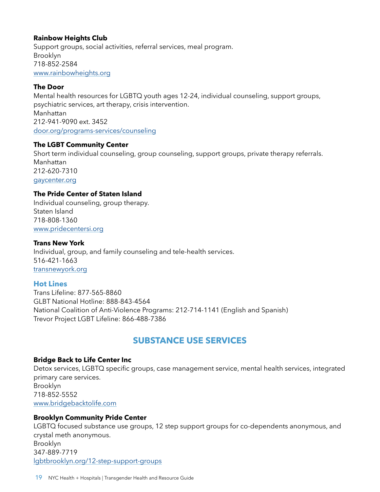#### **Rainbow Heights Club**

Support groups, social activities, referral services, meal program. Brooklyn 718-852-2584 [www.rainbowheights.org](https://www.rainbowheights.org/)

#### **The Door**

Mental health resources for LGBTQ youth ages 12-24, individual counseling, support groups, psychiatric services, art therapy, crisis intervention. Manhattan 212-941-9090 ext. 3452 [door.org/programs-services/counseling](https://door.org/programs-services/counseling/)

#### **The LGBT Community Center**

Short term individual counseling, group counseling, support groups, private therapy referrals. Manhattan 212-620-7310 [gaycenter.org](https://gaycenter.org/)

#### **The Pride Center of Staten Island**

Individual counseling, group therapy. Staten Island 718-808-1360 [www.pridecentersi.org](https://www.pridecentersi.org/)

#### **Trans New York**

Individual, group, and family counseling and tele-health services. 516-421-1663 [transnewyork.org](https://transnewyork.org/)

#### **Hot Lines**

Trans Lifeline: 877-565-8860 GLBT National Hotline: 888-843-4564 National Coalition of Anti-Violence Programs: 212-714-1141 (English and Spanish) Trevor Project LGBT Lifeline: 866-488-7386

# <span id="page-18-0"></span>**SUBSTANCE USE SERVICES**

#### **Bridge Back to Life Center Inc**

Detox services, LGBTQ specific groups, case management service, mental health services, integrated primary care services. Brooklyn 718-852-5552 [www.bridgebacktolife.com](http://www.bridgebacktolife.com/)

#### **Brooklyn Community Pride Center**

LGBTQ focused substance use groups, 12 step support groups for co-dependents anonymous, and crystal meth anonymous. Brooklyn 347-889-7719 lgbtbrooklyn.org/12-step-support-groups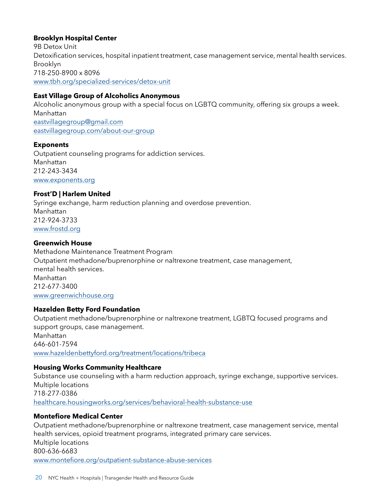#### **Brooklyn Hospital Center**

9B Detox Unit Detoxification services, hospital inpatient treatment, case management service, mental health services. Brooklyn 718-250-8900 x 8096 [www.tbh.org/specialized-services/detox-unit](http://www.tbh.org/specialized-services/detox-unit)

#### **East Village Group of Alcoholics Anonymous**

Alcoholic anonymous group with a special focus on LGBTQ community, offering six groups a week. Manhattan [eastvillagegroup@gmail.com](mailto:eastvillagegroup@gmail.com) [eastvillagegroup.com/about-our-group](https://eastvillagegroup.com/about-our-group)

#### **Exponents**

Outpatient counseling programs for addiction services. Manhattan 212-243-3434 [www.exponents.org](https://www.exponents.org/)

#### **Frost'D | Harlem United**

Syringe exchange, harm reduction planning and overdose prevention. Manhattan 212-924-3733 [www.frostd.org](http://www.frostd.org/)

#### **Greenwich House**

Methadone Maintenance Treatment Program Outpatient methadone/buprenorphine or naltrexone treatment, case management, mental health services. Manhattan 212-677-3400 [www.greenwichhouse.org](http://www.greenwichhouse.org/)

#### **Hazelden Betty Ford Foundation**

Outpatient methadone/buprenorphine or naltrexone treatment, LGBTQ focused programs and support groups, case management. Manhattan 646-601-7594 [www.hazeldenbettyford.org/treatment/locations/tribeca](http://www.hazeldenbettyford.org/treatment/locations/tribeca)

#### **Housing Works Community Healthcare**

Substance use counseling with a harm reduction approach, syringe exchange, supportive services. Multiple locations 718-277-0386 [healthcare.housingworks.org/services/behavioral-health-substance-use](https://healthcare.housingworks.org/services/behavioral-health-substance-use)

#### **Montefiore Medical Center**

Outpatient methadone/buprenorphine or naltrexone treatment, case management service, mental health services, opioid treatment programs, integrated primary care services. Multiple locations 800-636-6683 [www.montefiore.org/outpatient-substance-abuse-services](https://www.montefiore.org/outpatient-substance-abuse-services)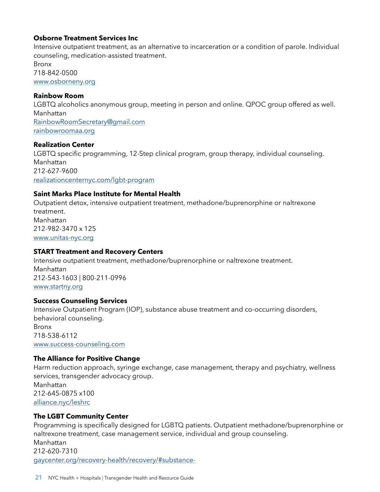#### **Osborne Treatment Services Inc**

Intensive outpatient treatment, as an alternative to incarceration or a condition of parole. Individual counseling, medication-assisted treatment. Bronx 718-842-0500 [www.osborneny.org](http://www.osborneny.org/)

#### **Rainbow Room**

LGBTQ alcoholics anonymous group, meeting in person and online. QPOC group offered as well. Manhattan [RainbowRoomSecretary@gmail.com](mailto:RainbowRoomSecretary@gmail.com) [rainbowroomaa.org](https://rainbowroomaa.org/)

#### **Realization Center**

LGBTQ specific programming, 12-Step clinical program, group therapy, individual counseling. Manhattan 212-627-9600 [realizationcenternyc.com/lgbt-program](https://realizationcenternyc.com/lgbt-program/)

#### **Saint Marks Place Institute for Mental Health**

Outpatient detox, intensive outpatient treatment, methadone/buprenorphine or naltrexone treatment. Manhattan 212-982-3470 x 125 [www.unitas-nyc.org](http://www.unitas-nyc.org/)

#### **START Treatment and Recovery Centers**

Intensive outpatient treatment, methadone/buprenorphine or naltrexone treatment. Manhattan 212-543-1603 | 800-211-0996 [www.startny.org](http://www.startny.org/)

#### **Success Counseling Services**

Intensive Outpatient Program (IOP), substance abuse treatment and co-occurring disorders, behavioral counseling. Bronx 718-538-6112 [www.success-counseling.com](https://www.success-counseling.com/)

#### **The Alliance for Positive Change**

Harm reduction approach, syringe exchange, case management, therapy and psychiatry, wellness services, transgender advocacy group. Manhattan 212-645-0875 x100 [alliance.nyc/leshrc](https://alliance.nyc/leshrc)

#### **The LGBT Community Center**

Programming is specifically designed for LGBTQ patients. Outpatient methadone/buprenorphine or naltrexone treatment, case management service, individual and group counseling. Manhattan 212-620-7310 [gaycenter.org/recovery-health/recovery/#substance-](http://gaycenter.org/recovery-health/recovery/#substance-)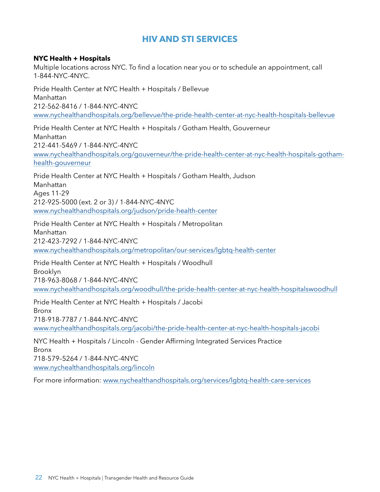# <span id="page-21-0"></span>**HIV AND STI SERVICES**

#### **NYC Health + Hospitals**

Multiple locations across NYC. To find a location near you or to schedule an appointment, call 1-844-NYC-4NYC.

Pride Health Center at NYC Health + Hospitals / Bellevue Manhattan 212-562-8416 / 1-844-NYC-4NYC [www.nychealthandhospitals.org/bellevue/the-pride-health-center-at-nyc-health-hospitals-bellevue](http://www.nychealthandhospitals.org/bellevue/the-pride-health-center-at-nyc-health-hospitals-bellevue/)

Pride Health Center at NYC Health + Hospitals / Gotham Health, Gouverneur Manhattan 212-441-5469 / 1-844-NYC-4NYC [www.nychealthandhospitals.org/gouverneur/the-pride-health-center-at-nyc-health-hospitals-gotham](http://www.nychealthandhospitals.org/gouverneur/the-pride-health-center-at-nyc-health-hospitals-gotham-health-gouverneur/)[health-gouverneur](http://www.nychealthandhospitals.org/gouverneur/the-pride-health-center-at-nyc-health-hospitals-gotham-health-gouverneur/)

Pride Health Center at NYC Health + Hospitals / Gotham Health, Judson Manhattan Ages 11-29 212-925-5000 (ext. 2 or 3) / 1-844-NYC-4NYC [www.nychealthandhospitals.org/judson/pride-health-center](http://www.nychealthandhospitals.org/judson/pride-health-center)

Pride Health Center at NYC Health + Hospitals / Metropolitan Manhattan 212-423-7292 / 1-844-NYC-4NYC [www.nychealthandhospitals.org/metropolitan/our-services/lgbtq-health-center](http://www.nychealthandhospitals.org/metropolitan/our-services/lgbtq-health-center)

Pride Health Center at NYC Health + Hospitals / Woodhull Brooklyn 718-963-8068 / 1-844-NYC-4NYC [www.nychealthandhospitals.org/woodhull/the-pride-health-center-at-nyc-health-hospitalswoodhull](http://www.nychealthandhospitals.org/woodhull/the-pride-health-center-at-nyc-health-hospitalswoodhull)

Pride Health Center at NYC Health + Hospitals / Jacobi Bronx 718-918-7787 / 1-844-NYC-4NYC www.nychealthandhospitals.org/jacobi/the-pride-health-center-at-nyc-health-hospitals-jacobi

NYC Health + Hospitals / Lincoln - Gender Affirming Integrated Services Practice Bronx 718-579–5264 / 1-844-NYC-4NYC [www.nychealthandhospitals.org/lincoln](https://www.nychealthandhospitals.org/lincoln/)

For more information: [www.nychealthandhospitals.org/services/lgbtq-health-care-services](https://www.nychealthandhospitals.org/services/lgbtq-health-care-services/)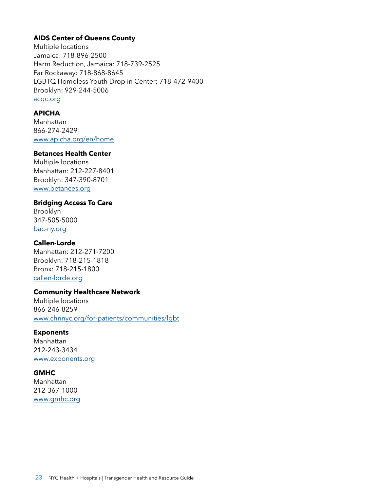#### **AIDS Center of Queens County**

Multiple locations Jamaica: [718-896-2500](tel:7188962500) Harm Reduction, Jamaica: [718-739-2525](tel:7187392525) Far Rockaway: [718-868-8645](tel:7188688645) LGBTQ Homeless Youth Drop in Center: [718-472-9400](tel:7184729400) Brooklyn: 929-244-5006 [acqc.org](https://acqc.org/)

#### **APICHA**

Manhattan 866-274-2429 [www.apicha.org/en/home](https://www.apicha.org/en/home)

#### **Betances Health Center**

Multiple locations Manhattan: 212-227-8401 Brooklyn: 347-390-8701 [www.betances.org](https://www.betances.org/)

#### **Bridging Access To Care**

Brooklyn 347-505-5000 bac-ny.org

#### **Callen-Lorde**

Manhattan: 212-271-7200 Brooklyn: 718-215-1818 Bronx: 718-215-1800 [callen-lorde.org](https://callen-lorde.org/)

#### **Community Healthcare Network**

Multiple locations 866-246-8259 [www.chnnyc.org/for-patients/communities/lgbt](https://www.chnnyc.org/for-patients/communities/lgbt/)

#### **Exponents**

Manhattan 212-243-3434 [www.exponents.org](https://www.exponents.org/)

#### **GMHC**

Manhattan 212-367-1000 [www.gmhc.org](https://www.gmhc.org/)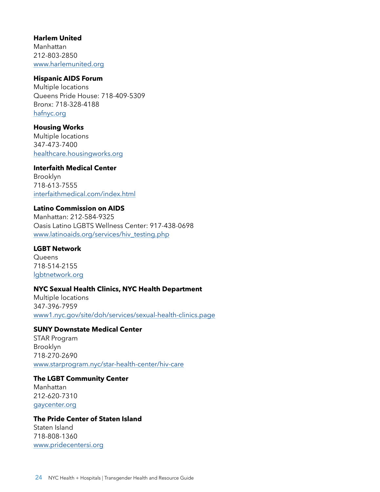#### **Harlem United**

Manhattan 212-803-2850 [www.harlemunited.org](https://www.harlemunited.org/)

#### **Hispanic AIDS Forum**

Multiple locations Queens Pride House: 718-409-5309 Bronx: 718-328-4188 [hafnyc.org](http://hafnyc.org/)

#### **Housing Works**

Multiple locations 347-473-7400 [healthcare.housingworks.org](https://healthcare.housingworks.org/)

#### **Interfaith Medical Center**

Brooklyn 718-613-7555 [interfaithmedical.com/index.html](https://interfaithmedical.com/index.html)

#### **Latino Commission on AIDS**

Manhattan: 212-584-9325 Oasis Latino LGBTS Wellness Center: 917-438-0698 [www.latinoaids.org/services/hiv\\_testing.php](https://www.latinoaids.org/services/hiv_testing.php)

#### **LGBT Network**

**Queens** 718-514-2155 [lgbtnetwork.org](https://lgbtnetwork.org/)

#### **NYC Sexual Health Clinics, NYC Health Department**

Multiple locations 347-396-7959 [www1.nyc.gov/site/doh/services/sexual-health-clinics.page](https://www1.nyc.gov/site/doh/services/sexual-health-clinics.page)

#### **SUNY Downstate Medical Center**

STAR Program Brooklyn 718-270-2690 [www.starprogram.nyc/star-health-center/hiv-care](http://www.starprogram.nyc/star-health-center/hiv-care/)

#### **The LGBT Community Center** Manhattan 212-620-7310 [gaycenter.org](https://gaycenter.org/)

#### **The Pride Center of Staten Island**

Staten Island 718-808-1360 [www.pridecentersi.org](https://www.pridecentersi.org/)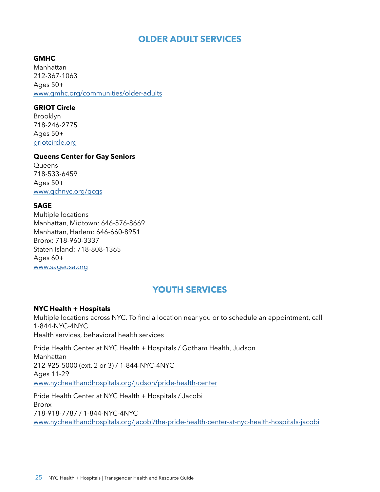# <span id="page-24-0"></span>**OLDER ADULT SERVICES**

**GMHC** Manhattan 212-367-1063 Ages 50+ [www.gmhc.org/communities/older-adults](https://www.gmhc.org/communities/older-adults/)

#### **GRIOT Circle**

Brooklyn 718-246-2775 Ages 50+ [griotcircle.org](https://griotcircle.org/)

#### **Queens Center for Gay Seniors**

**Queens** 718-533-6459 Ages 50+ [www.qchnyc.org/qcgs](https://www.qchnyc.org/qcgs)

#### **SAGE**

Multiple locations Manhattan, Midtown: 646-576-8669 Manhattan, Harlem: 646-660-8951 Bronx: 718-960-3337 Staten Island: 718-808-1365 Ages 60+ [www.sageusa.org](https://www.sageusa.org/)

# <span id="page-24-1"></span>**YOUTH SERVICES**

#### **NYC Health + Hospitals**

Multiple locations across NYC. To find a location near you or to schedule an appointment, call 1-844-NYC-4NYC. Health services, behavioral health services

Pride Health Center at NYC Health + Hospitals / Gotham Health, Judson Manhattan 212-925-5000 (ext. 2 or 3) / 1-844-NYC-4NYC Ages 11-29 [www.nychealthandhospitals.org/judson/pride-health-center](http://www.nychealthandhospitals.org/judson/pride-health-center)

Pride Health Center at NYC Health + Hospitals / Jacobi Bronx 718-918-7787 / 1-844-NYC-4NYC [www.nychealthandhospitals.org/jacobi/the-pride-health-center-at-nyc-health-hospitals-jacobi](http://www.nychealthandhospitals.org/jacobi/the-pride-health-center-at-nyc-health-hospitals-jacobi)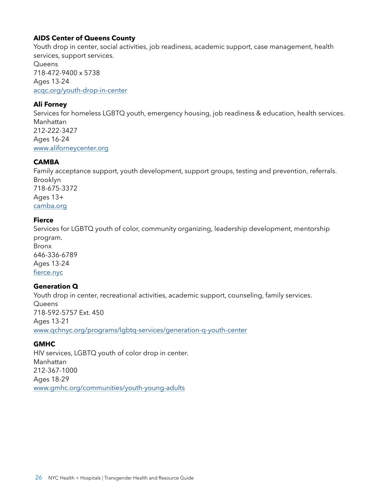#### **AIDS Center of Queens County**

Youth drop in center, social activities, job readiness, academic support, case management, health services, support services.

**Queens** 718-472-9400 x 5738 Ages 13-24 [acqc.org/youth-drop-in-center](https://acqc.org/youth-drop-in-center/)

#### **Ali Forney**

Services for homeless LGBTQ youth, emergency housing, job readiness & education, health services. Manhattan 212-222-3427 Ages 16-24 [www.aliforneycenter.org](https://www.aliforneycenter.org/)

#### **CAMBA**

Family acceptance support, youth development, support groups, testing and prevention, referrals. Brooklyn 718-675-3372 Ages 13+ camba.org

#### **Fierce**

Services for LGBTQ youth of color, community organizing, leadership development, mentorship program. Bronx 646-336-6789 Ages 13-24 [fierce.nyc](http://fierce.nyc/)

#### **Generation Q**

Youth drop in center, recreational activities, academic support, counseling, family services. **Queens** 718-592-5757 Ext. 450 Ages 13-21 www.qchnyc.org/programs/lgbtq-services/generation-q-youth-center

#### **GMHC**

HIV services, LGBTQ youth of color drop in center. Manhattan 212-367-1000 Ages 18-29 [www.gmhc.org/communities/youth-young-adults](https://www.gmhc.org/communities/youth-young-adults/)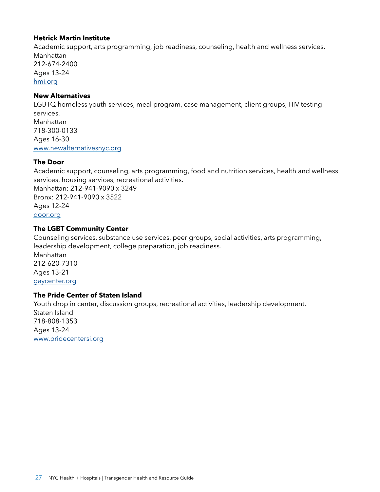#### **Hetrick Martin Institute**

Academic support, arts programming, job readiness, counseling, health and wellness services. Manhattan 212-674-2400 Ages 13-24 [hmi.org](https://hmi.org/)

#### **New Alternatives**

LGBTQ homeless youth services, meal program, case management, client groups, HIV testing services. Manhattan 718-300-0133 Ages 16-30 [www.newalternativesnyc.org](https://www.newalternativesnyc.org/)

#### **The Door**

Academic support, counseling, arts programming, food and nutrition services, health and wellness services, housing services, recreational activities. Manhattan: 212-941-9090 x 3249 Bronx: 212-941-9090 x 3522 Ages 12-24 [door.org](https://door.org/)

#### **The LGBT Community Center**

Counseling services, substance use services, peer groups, social activities, arts programming, leadership development, college preparation, job readiness. Manhattan 212-620-7310 Ages 13-21 [gaycenter.org](https://gaycenter.org/)

#### **The Pride Center of Staten Island**

Youth drop in center, discussion groups, recreational activities, leadership development. Staten Island 718-808-1353 Ages 13-24 www.pridecentersi.org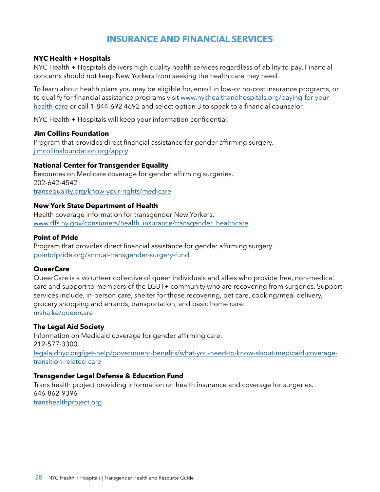# <span id="page-27-0"></span>**INSURANCE AND FINANCIAL SERVICES**

#### **NYC Health + Hospitals**

NYC Health + Hospitals delivers high quality health services regardless of ability to pay. Financial concerns should not keep New Yorkers from seeking the health care they need.

To learn about health plans you may be eligible for, enroll in low-or no-cost insurance programs, or to qualify for financial assistance programs visit [www.nychealthandhospitals.org/paying-for-your](http://www.nychealthandhospitals.org/paying-for-your-health-care)[health-care](http://www.nychealthandhospitals.org/paying-for-your-health-care) or call 1-844-692 4692 and select option 3 to speak to a financial counselor.

NYC Health + Hospitals will keep your information confidential.

#### **Jim Collins Foundation**

Program that provides direct financial assistance for gender affirming surgery. [jimcollinsfoundation.org/apply](https://jimcollinsfoundation.org/apply/)

#### **National Center for Transgender Equality**

Resources on Medicare coverage for gender affirming surgeries. 202-642-4542 [transequality.org/know-your-rights/medicare](https://transequality.org/know-your-rights/medicare)

#### **New York State Department of Health**

Health coverage information for transgender New Yorkers. [www.dfs.ny.gov/consumers/health\\_insurance/transgender\\_healthcare](https://www.dfs.ny.gov/consumers/health_insurance/transgender_healthcare)

#### **Point of Pride**

Program that provides direct financial assistance for gender affirming surgery. [pointofpride.org/annual-transgender-surgery-fund](https://pointofpride.org/annual-transgender-surgery-fund/)

#### **QueerCare**

QueerCare is a volunteer collective of queer individuals and allies who provide free, non-medical care and support to members of the LGBT+ community who are recovering from surgeries. Support services include, in-person care, shelter for those recovering, pet care, cooking/meal delivery, grocery shopping and errands, transportation, and basic home care. msha.ke/queercare

#### **The Legal Aid Society**

Information on Medicaid coverage for gender affirming care. 212-577-3300 [legalaidnyc.org/get-help/government-benefits/what-you-need-to-know-about-medicaid-coverage](https://legalaidnyc.org/get-help/government-benefits/what-you-need-to-know-about-medicaid-coverage-transition-related-care/)[transition-related-care](https://legalaidnyc.org/get-help/government-benefits/what-you-need-to-know-about-medicaid-coverage-transition-related-care/)

#### **Transgender Legal Defense & Education Fund**

Trans health project providing information on health insurance and coverage for surgeries. 646-862-9396 [transhealthproject.org](https://transhealthproject.org/)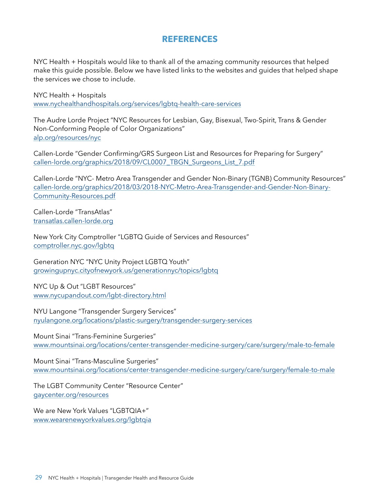### <span id="page-28-0"></span>**REFERENCES**

NYC Health + Hospitals would like to thank all of the amazing community resources that helped make this guide possible. Below we have listed links to the websites and guides that helped shape the services we chose to include.

NYC Health + Hospitals [www.nychealthandhospitals.org/services/lgbtq-health-care-services](https://www.nychealthandhospitals.org/services/lgbtq-health-care-services/)

The Audre Lorde Project "NYC Resources for Lesbian, Gay, Bisexual, Two-Spirit, Trans & Gender Non-Conforming People of Color Organizations" [alp.org/resources/nyc](https://alp.org/resources/nyc)

Callen-Lorde "Gender Confirming/GRS Surgeon List and Resources for Preparing for Surgery" [callen-lorde.org/graphics/2018/09/CL0007\\_TBGN\\_Surgeons\\_List\\_7.pdf](https://callen-lorde.org/graphics/2018/09/CL0007_TBGN_Surgeons_List_7.pdf)

Callen-Lorde "NYC- Metro Area Transgender and Gender Non-Binary (TGNB) Community Resources" [callen-lorde.org/graphics/2018/03/2018-NYC-Metro-Area-Transgender-and-Gender-Non-Binary-](http://callen-lorde.org/graphics/2018/03/2018-NYC-Metro-Area-Transgender-and-Gender-Non-Binary-Community-Resources.pdf)[Community-Resources.pdf](http://callen-lorde.org/graphics/2018/03/2018-NYC-Metro-Area-Transgender-and-Gender-Non-Binary-Community-Resources.pdf)

Callen-Lorde "TransAtlas" [transatlas.callen-lorde.org](https://transatlas.callen-lorde.org/)

New York City Comptroller "LGBTQ Guide of Services and Resources" [comptroller.nyc.gov/lgbtq](https://comptroller.nyc.gov/lgbtq/)

Generation NYC "NYC Unity Project LGBTQ Youth" [growingupnyc.cityofnewyork.us/generationnyc/topics/lgbtq](https://growingupnyc.cityofnewyork.us/generationnyc/topics/lgbtq/)

NYC Up & Out "LGBT Resources" [www.nycupandout.com/lgbt-directory.html](https://www.nycupandout.com/lgbt-directory.html)

NYU Langone "Transgender Surgery Services" [nyulangone.org/locations/plastic-surgery/transgender-surgery-services](https://nyulangone.org/locations/plastic-surgery/transgender-surgery-services)

Mount Sinai "Trans-Feminine Surgeries" [www.mountsinai.org/locations/center-transgender-medicine-surgery/care/surgery/male-to-female](https://www.mountsinai.org/locations/center-transgender-medicine-surgery/care/surgery/male-to-female)

Mount Sinai "Trans-Masculine Surgeries" [www.mountsinai.org/locations/center-transgender-medicine-surgery/care/surgery/female-to-male](https://www.mountsinai.org/locations/center-transgender-medicine-surgery/care/surgery/female-to-male)

The LGBT Community Center "Resource Center" [gaycenter.org/resources](https://gaycenter.org/resources/)

We are New York Values "LGBTQIA+" [www.wearenewyorkvalues.org/lgbtqia](https://www.wearenewyorkvalues.org/lgbtqia)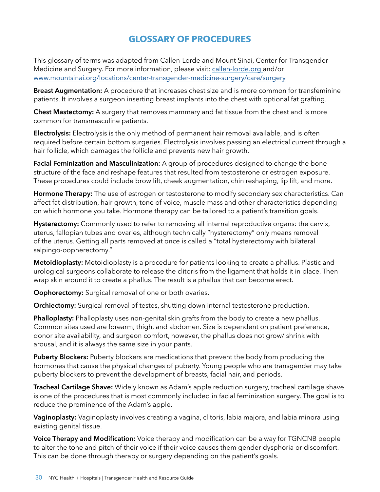# <span id="page-29-0"></span>**GLOSSARY OF PROCEDURES**

This glossary of terms was adapted from Callen-Lorde and Mount Sinai, Center for Transgender Medicine and Surgery. For more information, please visit: [callen-lorde.org](https://callen-lorde.org/) and/or [www.mountsinai.org/locations/center-transgender-medicine-surgery/care/surgery](https://www.mountsinai.org/locations/center-transgender-medicine-surgery/care/surgery)

**Breast Augmentation:** A procedure that increases chest size and is more common for transfeminine patients. It involves a surgeon inserting breast implants into the chest with optional fat grafting.

**Chest Mastectomy:** A surgery that removes mammary and fat tissue from the chest and is more common for transmasculine patients.

**Electrolysis:** Electrolysis is the only method of permanent hair removal available, and is often required before certain bottom surgeries. Electrolysis involves passing an electrical current through a hair follicle, which damages the follicle and prevents new hair growth.

**Facial Feminization and Masculinization:** A group of procedures designed to change the bone structure of the face and reshape features that resulted from testosterone or estrogen exposure. These procedures could include brow lift, cheek augmentation, chin reshaping, lip lift, and more.

**Hormone Therapy:** The use of estrogen or testosterone to modify secondary sex characteristics. Can affect fat distribution, hair growth, tone of voice, muscle mass and other characteristics depending on which hormone you take. Hormone therapy can be tailored to a patient's transition goals.

**Hysterectomy:** Commonly used to refer to removing all internal reproductive organs: the cervix, uterus, fallopian tubes and ovaries, although technically "hysterectomy" only means removal of the uterus. Getting all parts removed at once is called a "total hysterectomy with bilateral salpingo-oopherectomy."

**Metoidioplasty:** Metoidioplasty is a procedure for patients looking to create a phallus. Plastic and urological surgeons collaborate to release the clitoris from the ligament that holds it in place. Then wrap skin around it to create a phallus. The result is a phallus that can become erect.

**Oophorectomy:** Surgical removal of one or both ovaries.

**Orchiectomy:** Surgical removal of testes, shutting down internal testosterone production.

**Phalloplasty:** Phalloplasty uses non-genital skin grafts from the body to create a new phallus. Common sites used are forearm, thigh, and abdomen. Size is dependent on patient preference, donor site availability, and surgeon comfort, however, the phallus does not grow/ shrink with arousal, and it is always the same size in your pants.

**Puberty Blockers:** Puberty blockers are medications that prevent the body from producing the hormones that cause the physical changes of puberty. Young people who are transgender may take puberty blockers to prevent the development of breasts, facial hair, and periods.

**Tracheal Cartilage Shave:** Widely known as Adam's apple reduction surgery, tracheal cartilage shave is one of the procedures that is most commonly included in facial feminization surgery. The goal is to reduce the prominence of the Adam's apple.

**Vaginoplasty:** Vaginoplasty involves creating a vagina, clitoris, labia majora, and labia minora using existing genital tissue.

**Voice Therapy and Modification:** Voice therapy and modification can be a way for TGNCNB people to alter the tone and pitch of their voice if their voice causes them gender dysphoria or discomfort. This can be done through therapy or surgery depending on the patient's goals.